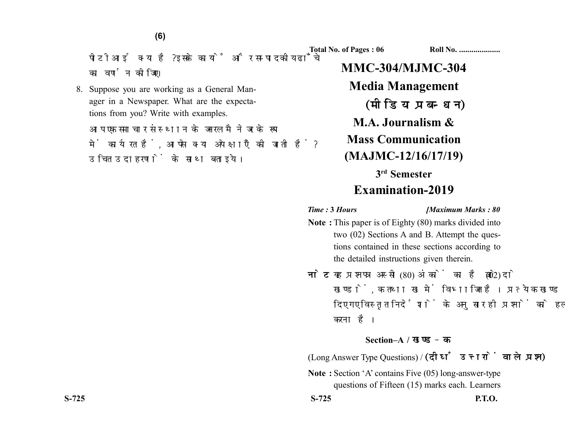**(6)**

पीटीआई क्या है? इसके कार्यों और सम्पादकीय ढाँचे का वर्णन कोजिए।

8. Suppose you are working as a General Manager in a Newspaper. What are the expectations from you? Write with examples.

आप एक समाचार संस्थान के जनरल मैनेजर के रूप में कार्यरत हैं. आपसे क्या अपेक्षाएँ की जाती हैं? उचित उदाहरणों के साथ बताइये।

**Total No. of Pages : 06 Roll No. ...................** 

**MMC-304/MJMC-304 Media Management** (मीडिया प्रबन्धन) **M.A. Journalism & Mass Communication (MAJMC-12/16/17/19) 3rd Semester Examination-2019**

*Time :* **3** *Hours [Maximum Marks : 80*

- **Note :** This paper is of Eighty (80) marks divided into two (02) Sections A and B. Attempt the questions contained in these sections according to the detailed instructions given therein.
- नोट: यह प्रश्नपत्र अस्सी (80) अंकों का है जो दो (02) खण्डों, क तथा ख में विभाजित है। प्रत्येक खण्ड में दिए गए विस्तृत निर्देशों के अनुसार ही प्रश्नों को हल करना है।

## **Section–A /**

(Long Answer Type Questions) /

**Note :** Section 'A' contains Five (05) long-answer-type questions of Fifteen (15) marks each. Learners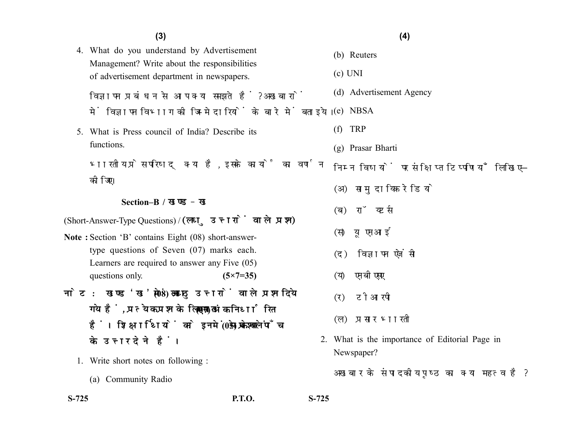4. What do you understand by Advertisement Management? Write about the responsibilities of advertisement department in newspapers.

विज्ञापन प्रबंधन से आप क्या समझते हैं? अखबारों में विज्ञापन विभाग की जिम्मेदारियों के बारे में बताइये।

5. What is Press council of India? Describe its functions.

भारतीय प्रेस परिषद् क्या है, इसके कार्यों का वर्णन कोजिए।

## **Section–B /**

(Short-Answer-Type Questions) /

- **Note :** Section 'B' contains Eight (08) short-answertype questions of Seven (07) marks each. Learners are required to answer any Five (05) questions only. **(5×7=35)**
- नोट: खण्ड'ख' में आठ (08) लघु उत्तरों वाले प्रश्न दिये गये हैं. प्रत्येक प्रश्न के लिए सात (07) अंक निर्धारित हैं। शिक्षार्थियों को इनमें से केवल पाँच (05) प्रश्नों के उत्तर देने हैं।
	- 1. Write short notes on following :
		- (a) Community Radio

- (b) Reuters
- (c) UNI
- (d) Advertisement Agency
- (e) NBSA
- (f) TRP
- (g) Prasar Bharti

निम्न विषयों पर संक्षिप्त टिप्पणियाँ लिखिए–

- (अ) सामदायिक रेडियो
- (ब) रॉयटर्स
- (स) यूएनआई
- (द) विज्ञापन एजेंसी
- (य) एनबीएसए
- (र) टीआरपी
- (ल) प्रसार भारती
- 2. What is the importance of Editorial Page in Newspaper?

अखबार के संपादकीय पृष्ठ का क्या महत्व है?

**S-725 P.T.O. S-725**